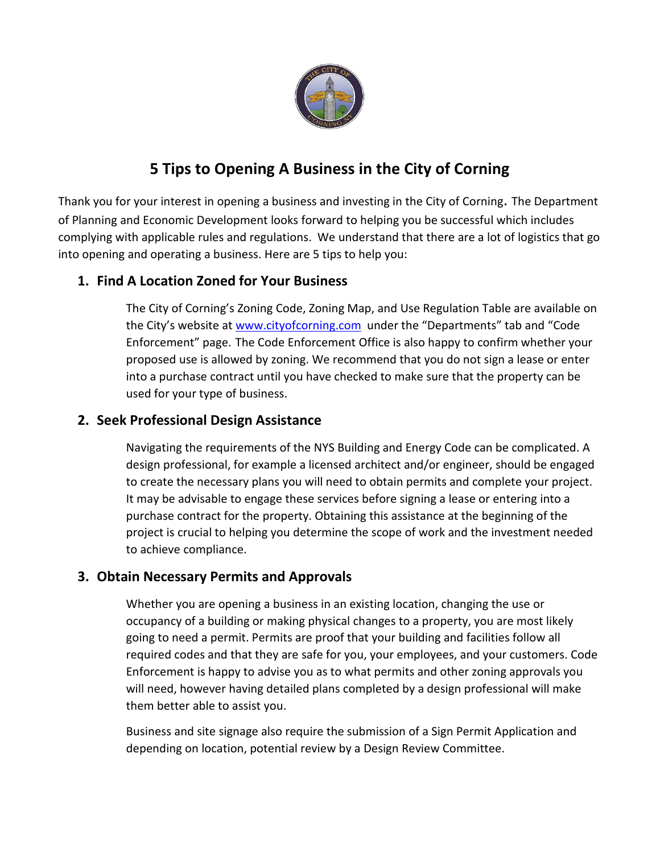

# **5 Tips to Opening A Business in the City of Corning**

Thank you for your interest in opening a business and investing in the City of Corning. The Department of Planning and Economic Development looks forward to helping you be successful which includes complying with applicable rules and regulations. We understand that there are a lot of logistics that go into opening and operating a business. Here are 5 tips to help you:

#### **1. Find A Location Zoned for Your Business**

The City of Corning's Zoning Code, Zoning Map, and Use Regulation Table are available on the City's website at [www.cityofcorning.com](http://www.cityofcorning.com/) under the "Departments" tab and "Code Enforcement" page. The Code Enforcement Office is also happy to confirm whether your proposed use is allowed by zoning. We recommend that you do not sign a lease or enter into a purchase contract until you have checked to make sure that the property can be used for your type of business.

#### **2. Seek Professional Design Assistance**

Navigating the requirements of the NYS Building and Energy Code can be complicated. A design professional, for example a licensed architect and/or engineer, should be engaged to create the necessary plans you will need to obtain permits and complete your project. It may be advisable to engage these services before signing a lease or entering into a purchase contract for the property. Obtaining this assistance at the beginning of the project is crucial to helping you determine the scope of work and the investment needed to achieve compliance.

#### **3. Obtain Necessary Permits and Approvals**

Whether you are opening a business in an existing location, changing the use or occupancy of a building or making physical changes to a property, you are most likely going to need a permit. Permits are proof that your building and facilities follow all required codes and that they are safe for you, your employees, and your customers. Code Enforcement is happy to advise you as to what permits and other zoning approvals you will need, however having detailed plans completed by a design professional will make them better able to assist you.

Business and site signage also require the submission of a Sign Permit Application and depending on location, potential review by a Design Review Committee.